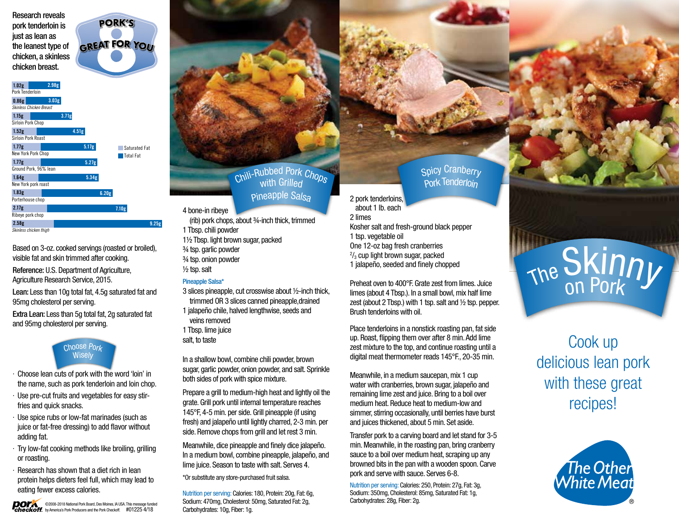Research reveals pork tenderloin is just as lean as the leanest type of chicken, a skinless chicken breast.

**PORK'S** GREAT FOR YOU

| 1.02 <sub>g</sub>  |                         | 2.98g             |       |       |                  |
|--------------------|-------------------------|-------------------|-------|-------|------------------|
| Pork Tenderloin    |                         |                   |       |       |                  |
| 0.86g              |                         | 3.03 <sub>g</sub> |       |       |                  |
|                    | Skinless Chicken Breast |                   |       |       |                  |
| 1.15g              |                         | 3.71 <sub>g</sub> |       |       |                  |
| Sirloin Pork Chop  |                         |                   |       |       |                  |
| 1.52g              |                         |                   | 4.51g |       |                  |
|                    | Sirloin Pork Roast      |                   |       |       |                  |
| 1.77g              |                         |                   | 5.17g |       | Saturated Fat    |
| New York Pork Chop |                         |                   |       |       | <b>Total Fat</b> |
| 1.77g              |                         |                   | 5.27g |       |                  |
|                    | Ground Pork, 96% lean   |                   |       |       |                  |
| 1.64g              |                         |                   | 5.34g |       |                  |
|                    | New York pork roast     |                   |       |       |                  |
| 1.83g              |                         |                   |       | 6.20g |                  |
|                    | Porterhouse chop        |                   |       |       |                  |
| 2.17 <sub>g</sub>  |                         |                   |       |       | 7.10g            |
| Ribeye pork chop   |                         |                   |       |       |                  |
| 2.58g              |                         |                   |       |       | 9.25g            |
|                    |                         |                   |       |       |                  |

*Skinless chicken thigh*

Based on 3-oz. cooked servings (roasted or broiled), visible fat and skin trimmed after cooking.

Reference: U.S. Department of Agriculture, Agriculture Research Service, 2015.

Lean: Less than 10g total fat, 4.5g saturated fat and 95mg cholesterol per serving.

Extra Lean: Less than 5g total fat, 2g saturated fat and 95mg cholesterol per serving.



- · Choose lean cuts of pork with the word 'loin' in the name, such as pork tenderloin and loin chop.
- · Use pre-cut fruits and vegetables for easy stirfries and quick snacks.
- · Use spice rubs or low-fat marinades (such as juice or fat-free dressing) to add flavor without adding fat.
- · Try low-fat cooking methods like broiling, grilling or roasting.

· Research has shown that a diet rich in lean protein helps dieters feel full, which may lead to eating fewer excess calories.



©2008-2018 National Pork Board, Des Moines, IA USA. This message funded<br>by America's Pork Producers and the Pork Checkoff. #01225 4/18

# Chili-Rubbed Pork Chops Pineappl<sup>e</sup> Sals<sup>a</sup>

#### 4 bone-in ribeye

 (rib) pork chops, about 3/4-inch thick, trimmed 1 Tbsp. chili powder 11/2 Tbsp. light brown sugar, packed <sup>3</sup>/<sub>4</sub> tsp. garlic powder 3/4 tsp. onion powder  $1/2$  tsp. salt

#### Pineapple Salsa\*

- 3 slices pineapple, cut crosswise about 1/2-inch thick, trimmed OR 3 slices canned pineapple,drained
- 1 jalapeño chile, halved lengthwise, seeds and veins removed
- 1 Tbsp. lime juice
- salt, to taste

In a shallow bowl, combine chili powder, brown sugar, garlic powder, onion powder, and salt. Sprinkle both sides of pork with spice mixture.

Prepare a grill to medium-high heat and lightly oil the grate. Grill pork until internal temperature reaches 145°F, 4-5 min. per side. Grill pineapple (if using fresh) and jalapeño until lightly charred, 2-3 min. per side. Remove chops from grill and let rest 3 min.

Meanwhile, dice pineapple and finely dice jalapeño. In a medium bowl, combine pineapple, jalapeño, and lime juice. Season to taste with salt. Serves 4. \*Or substitute any store-purchased fruit salsa.

Nutrition per serving: Calories: 180, Protein: 20g, Fat: 6g, Sodium: 470mg, Cholesterol: 50mg, Saturated Fat: 2g, Carbohydrates: 10g, Fiber: 1g.

### Spicy Cranberry Pork Tenderloi<sup>n</sup>

2 pork tenderloins, about 1 lb. each 2 limes Kosher salt and fresh-ground black pepper 1 tsp. vegetable oil One 12-oz bag fresh cranberries  $^{2}/_{3}$  cup light brown sugar, packed 1 jalapeño, seeded and finely chopped

Preheat oven to 400°F. Grate zest from limes. Juice limes (about 4 Tbsp.). In a small bowl, mix half lime zest (about 2 Tbsp.) with 1 tsp. salt and  $\frac{1}{2}$  tsp. pepper. Brush tenderloins with oil.

Place tenderloins in a nonstick roasting pan, fat side up. Roast, flipping them over after 8 min. Add lime zest mixture to the top, and continue roasting until a digital meat thermometer reads 145°F., 20-35 min.

Meanwhile, in a medium saucepan, mix 1 cup water with cranberries, brown sugar, jalapeño and remaining lime zest and juice. Bring to a boil over medium heat. Reduce heat to medium-low and simmer, stirring occasionally, until berries have burst and juices thickened, about 5 min. Set aside.

Transfer pork to a carving board and let stand for 3-5 min. Meanwhile, in the roasting pan, bring cranberry sauce to a boil over medium heat, scraping up any browned bits in the pan with a wooden spoon. Carve pork and serve with sauce. Serves 6-8.

Nutrition per serving: Calories: 250, Protein: 27g, Fat: 3g, Sodium: 350mg, Cholesterol: 85mg, Saturated Fat: 1g, Carbohydrates: 28g, Fiber: 2g.

# The Skinny

Cook up delicious lean pork with these great recipes!